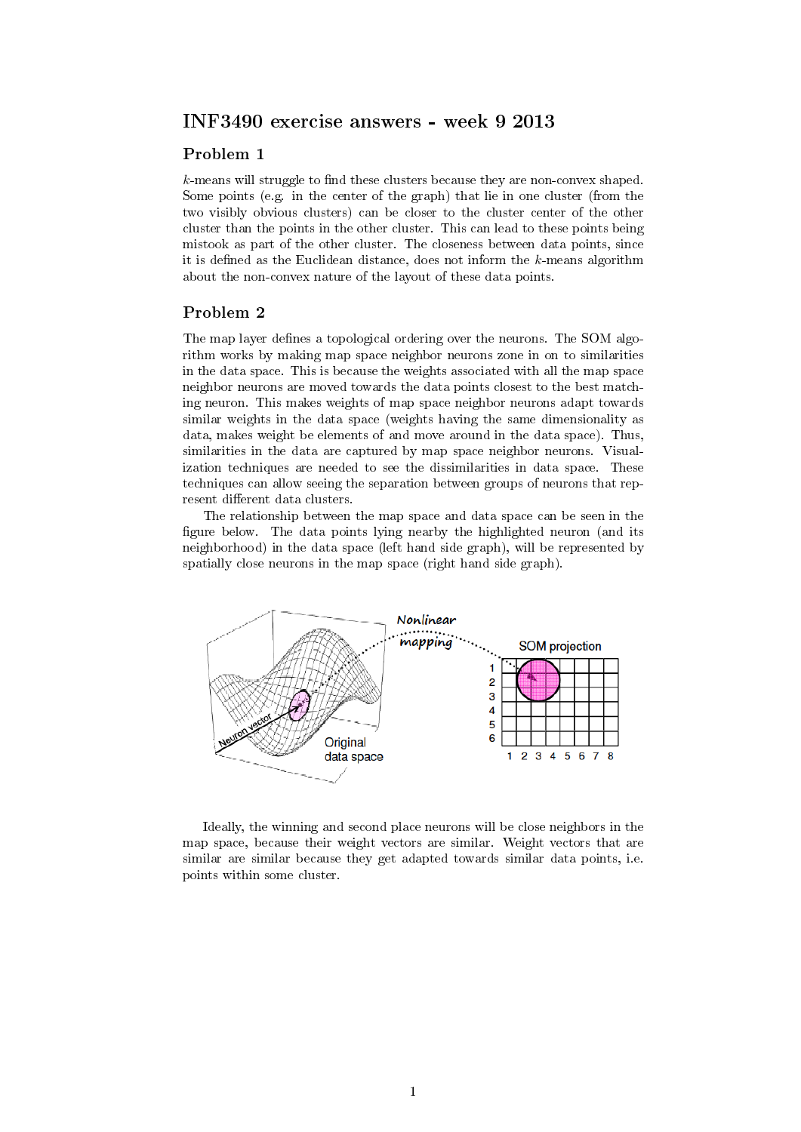## INF3490 exercise answers - week 9 2013

## Problem 1

 $k$ -means will struggle to find these clusters because they are non-convex shaped. Some points (e.g. in the center of the graph) that lie in one cluster (from the two visibly obvious clusters) can be closer to the cluster center of the other cluster than the points in the other cluster. This can lead to these points being mistook as part of the other cluster. The closeness between data points, since it is defined as the Euclidean distance, does not inform the  $k$ -means algorithm about the non-convex nature of the layout of these data points.

## Problem 2

The map layer defines a topological ordering over the neurons. The SOM algorithm works by making map space neighbor neurons zone in on to similarities in the data space. This is because the weights associated with all the map space neighbor neurons are moved towards the data points closest to the best matching neuron. This makes weights of map space neighbor neurons adapt towards similar weights in the data space (weights having the same dimensionality as data, makes weight be elements of and move around in the data space). Thus, similarities in the data are captured by map space neighbor neurons. Visualization techniques are needed to see the dissimilarities in data space. These techniques can allow seeing the separation between groups of neurons that represent different data clusters.

The relationship between the map space and data space can be seen in the figure below. The data points lying nearby the highlighted neuron (and its neighborhood) in the data space (left hand side graph), will be represented by spatially close neurons in the map space (right hand side graph).



Ideally, the winning and second place neurons will be close neighbors in the map space, because their weight vectors are similar. Weight vectors that are similar are similar because they get adapted towards similar data points, i.e. points within some cluster.